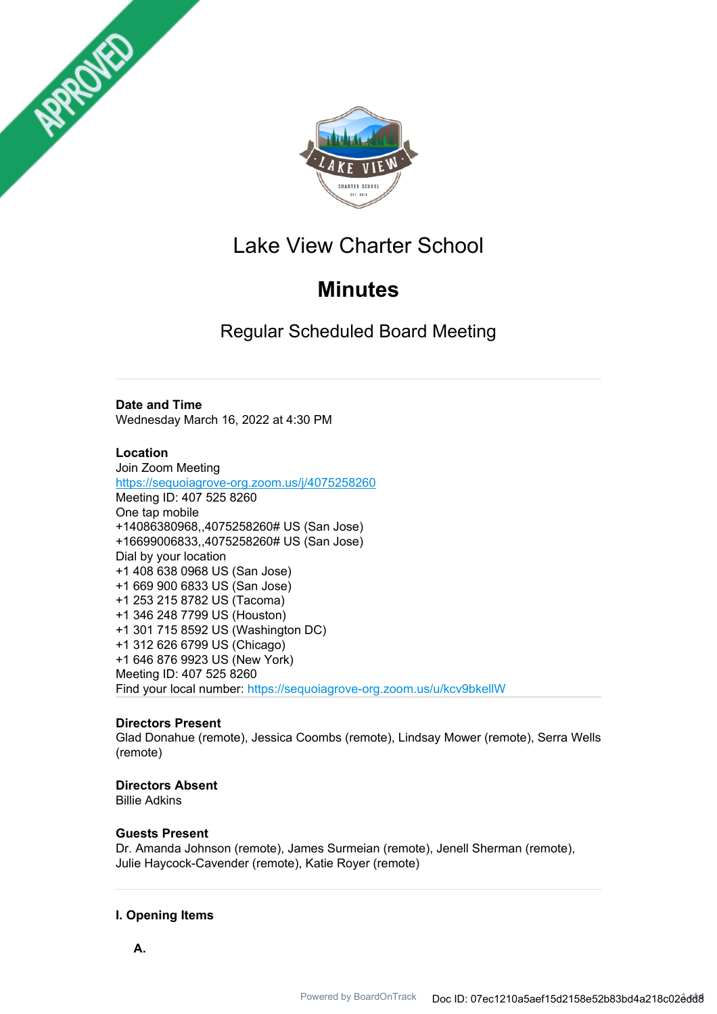



# Lake View Charter School

# **Minutes**

Regular Scheduled Board Meeting

## **Date and Time**

Wednesday March 16, 2022 at 4:30 PM

## **Location**

Join Zoom Meeting https://sequoiagrove-org.zoom.us/j/4075258260 Meeting ID: 407 525 8260 One tap mobile +14086380968,,4075258260# US (San Jose) +16699006833,,4075258260# US (San Jose) Dial by your location +1 408 638 0968 US (San Jose) +1 669 900 6833 US (San Jose) +1 253 215 8782 US (Tacoma) +1 346 248 7799 US (Houston) +1 301 715 8592 US (Washington DC) +1 312 626 6799 US (Chicago) +1 646 876 9923 US (New York) Meeting ID: 407 525 8260 Find your local number: https://sequoiagrove-org.zoom.us/u/kcv9bkellW

## **Directors Present**

Glad Donahue (remote), Jessica Coombs (remote), Lindsay Mower (remote), Serra Wells (remote)

## **Directors Absent**

Billie Adkins

## **Guests Present**

Dr. Amanda Johnson (remote), James Surmeian (remote), Jenell Sherman (remote), Julie Haycock-Cavender (remote), Katie Royer (remote)

## **I. Opening Items**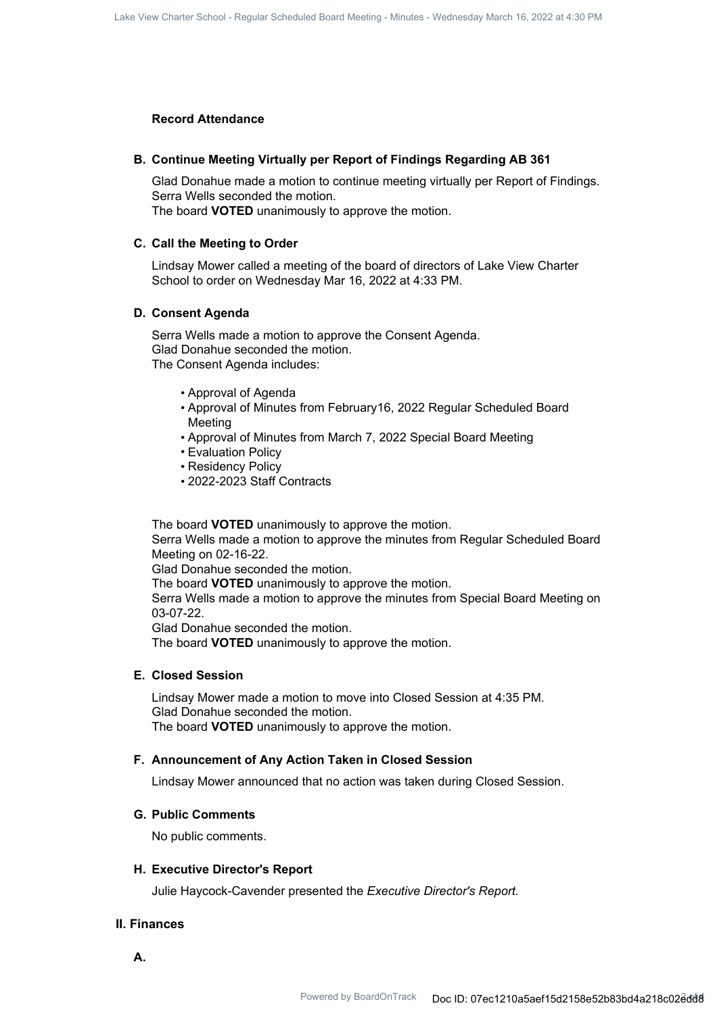#### **Record Attendance**

#### **B. Continue Meeting Virtually per Report of Findings Regarding AB 361**

Glad Donahue made a motion to continue meeting virtually per Report of Findings. Serra Wells seconded the motion. The board **VOTED** unanimously to approve the motion.

#### **C. Call the Meeting to Order**

Lindsay Mower called a meeting of the board of directors of Lake View Charter School to order on Wednesday Mar 16, 2022 at 4:33 PM.

#### **D. Consent Agenda**

Serra Wells made a motion to approve the Consent Agenda. Glad Donahue seconded the motion. The Consent Agenda includes:

- Approval of Agenda
- Approval of Minutes from February16, 2022 Regular Scheduled Board Meeting
- Approval of Minutes from March 7, 2022 Special Board Meeting
- Evaluation Policy
- Residency Policy
- 2022-2023 Staff Contracts

The board **VOTED** unanimously to approve the motion.

Serra Wells made a motion to approve the minutes from Regular Scheduled Board Meeting on 02-16-22.

Glad Donahue seconded the motion.

The board **VOTED** unanimously to approve the motion.

Serra Wells made a motion to approve the minutes from Special Board Meeting on 03-07-22.

Glad Donahue seconded the motion.

The board **VOTED** unanimously to approve the motion.

#### **E. Closed Session**

Lindsay Mower made a motion to move into Closed Session at 4:35 PM. Glad Donahue seconded the motion. The board **VOTED** unanimously to approve the motion.

#### **F. Announcement of Any Action Taken in Closed Session**

Lindsay Mower announced that no action was taken during Closed Session.

#### **G. Public Comments**

No public comments.

#### **H. Executive Director's Report**

Julie Haycock-Cavender presented the *Executive Director's Report.*

## **II. Finances**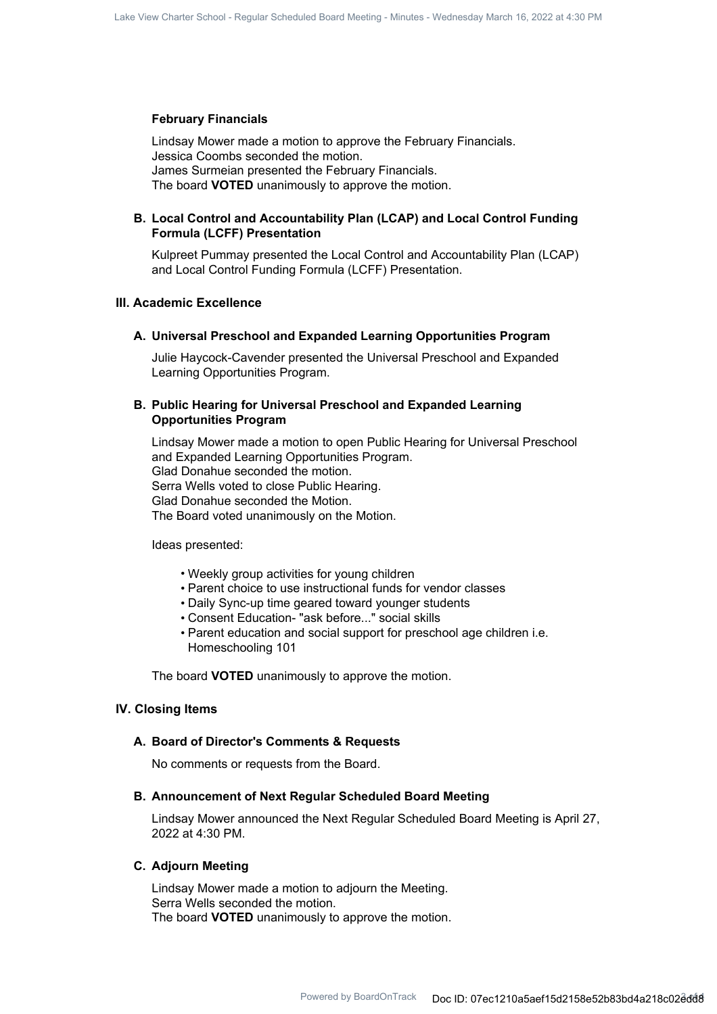#### **February Financials**

Lindsay Mower made a motion to approve the February Financials. Jessica Coombs seconded the motion. James Surmeian presented the February Financials. The board **VOTED** unanimously to approve the motion.

#### **Local Control and Accountability Plan (LCAP) and Local Control Funding B. Formula (LCFF) Presentation**

Kulpreet Pummay presented the Local Control and Accountability Plan (LCAP) and Local Control Funding Formula (LCFF) Presentation.

## **III. Academic Excellence**

#### **A. Universal Preschool and Expanded Learning Opportunities Program**

Julie Haycock-Cavender presented the Universal Preschool and Expanded Learning Opportunities Program.

#### **Public Hearing for Universal Preschool and Expanded Learning B. Opportunities Program**

Lindsay Mower made a motion to open Public Hearing for Universal Preschool and Expanded Learning Opportunities Program. Glad Donahue seconded the motion. Serra Wells voted to close Public Hearing. Glad Donahue seconded the Motion. The Board voted unanimously on the Motion.

Ideas presented:

- Weekly group activities for young children
- Parent choice to use instructional funds for vendor classes
- Daily Sync-up time geared toward younger students
- Consent Education- "ask before..." social skills
- Parent education and social support for preschool age children i.e. Homeschooling 101

The board **VOTED** unanimously to approve the motion.

#### **IV. Closing Items**

#### **A. Board of Director's Comments & Requests**

No comments or requests from the Board.

#### **B. Announcement of Next Regular Scheduled Board Meeting**

Lindsay Mower announced the Next Regular Scheduled Board Meeting is April 27, 2022 at 4:30 PM.

#### **C. Adjourn Meeting**

Lindsay Mower made a motion to adjourn the Meeting. Serra Wells seconded the motion. The board **VOTED** unanimously to approve the motion.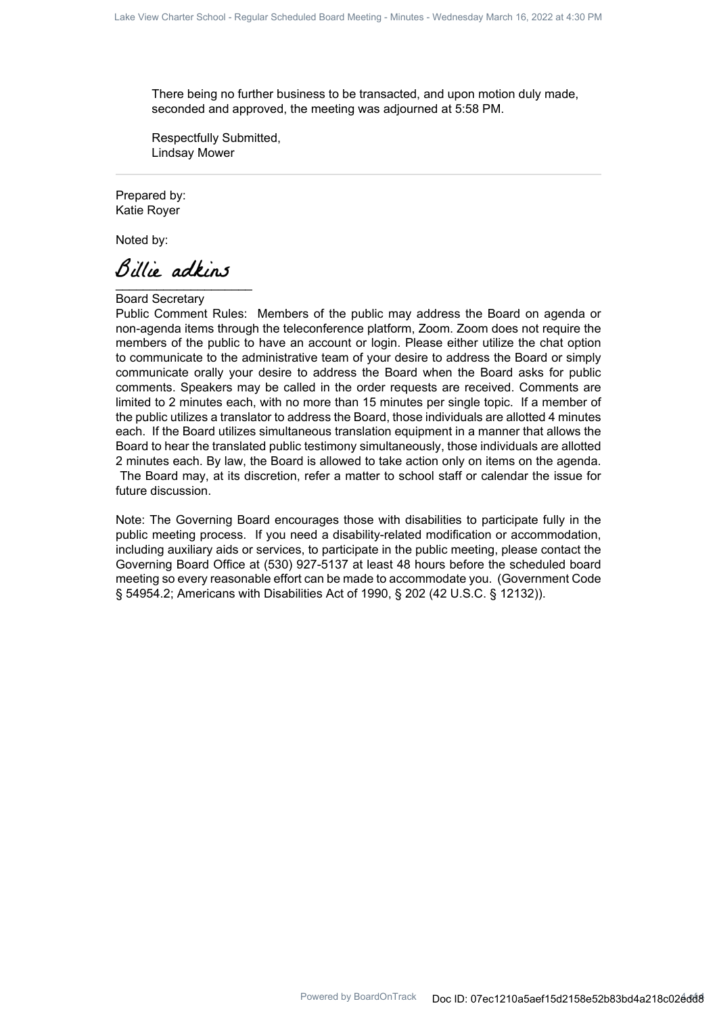There being no further business to be transacted, and upon motion duly made, seconded and approved, the meeting was adjourned at 5:58 PM.

Respectfully Submitted, Lindsay Mower

Prepared by: Katie Royer

Noted by:

Billie adkins

Board Secretary

Public Comment Rules: Members of the public may address the Board on agenda or non-agenda items through the teleconference platform, Zoom. Zoom does not require the members of the public to have an account or login. Please either utilize the chat option to communicate to the administrative team of your desire to address the Board or simply communicate orally your desire to address the Board when the Board asks for public comments. Speakers may be called in the order requests are received. Comments are limited to 2 minutes each, with no more than 15 minutes per single topic. If a member of the public utilizes a translator to address the Board, those individuals are allotted 4 minutes each. If the Board utilizes simultaneous translation equipment in a manner that allows the Board to hear the translated public testimony simultaneously, those individuals are allotted 2 minutes each. By law, the Board is allowed to take action only on items on the agenda. The Board may, at its discretion, refer a matter to school staff or calendar the issue for future discussion.

Note: The Governing Board encourages those with disabilities to participate fully in the public meeting process. If you need a disability-related modification or accommodation, including auxiliary aids or services, to participate in the public meeting, please contact the Governing Board Office at (530) 927-5137 at least 48 hours before the scheduled board meeting so every reasonable effort can be made to accommodate you. (Government Code § 54954.2; Americans with Disabilities Act of 1990, § 202 (42 U.S.C. § 12132)).